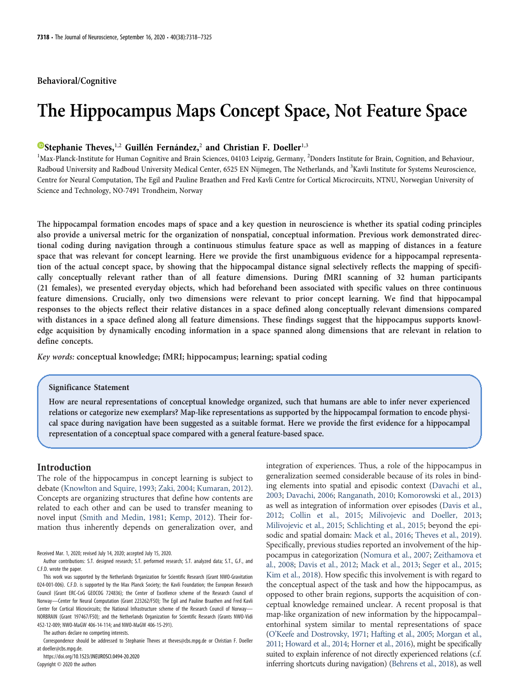# Behavioral/Cognitive

# The Hippocampus Maps Concept Space, Not Feature Space

# $\bullet$ [Stephanie Theves,](https://orcid.org/0000-0003-3414-5534)<sup>1,2</sup> Guillén Fernández,<sup>2</sup> and Christian F. Doeller<sup>1,3</sup>

<sup>1</sup>Max-Planck-Institute for Human Cognitive and Brain Sciences, 04103 Leipzig, Germany, <sup>2</sup>Donders Institute for Brain, Cognition, and Behaviour, Radboud University and Radboud University Medical Center, 6525 EN Nijmegen, The Netherlands, and <sup>3</sup>Kavli Institute for Systems Neuroscience, Centre for Neural Computation, The Egil and Pauline Braathen and Fred Kavli Centre for Cortical Microcircuits, NTNU, Norwegian University of Science and Technology, NO-7491 Trondheim, Norway

The hippocampal formation encodes maps of space and a key question in neuroscience is whether its spatial coding principles also provide a universal metric for the organization of nonspatial, conceptual information. Previous work demonstrated directional coding during navigation through a continuous stimulus feature space as well as mapping of distances in a feature space that was relevant for concept learning. Here we provide the first unambiguous evidence for a hippocampal representation of the actual concept space, by showing that the hippocampal distance signal selectively reflects the mapping of specifically conceptually relevant rather than of all feature dimensions. During fMRI scanning of 32 human participants (21 females), we presented everyday objects, which had beforehand been associated with specific values on three continuous feature dimensions. Crucially, only two dimensions were relevant to prior concept learning. We find that hippocampal responses to the objects reflect their relative distances in a space defined along conceptually relevant dimensions compared with distances in a space defined along all feature dimensions. These findings suggest that the hippocampus supports knowledge acquisition by dynamically encoding information in a space spanned along dimensions that are relevant in relation to define concepts.

Key words: conceptual knowledge; fMRI; hippocampus; learning; spatial coding

## Significance Statement

How are neural representations of conceptual knowledge organized, such that humans are able to infer never experienced relations or categorize new exemplars? Map-like representations as supported by the hippocampal formation to encode physical space during navigation have been suggested as a suitable format. Here we provide the first evidence for a hippocampal representation of a conceptual space compared with a general feature-based space.

# Introduction

The role of the hippocampus in concept learning is subject to debate ([Knowlton and Squire, 1993](#page-7-0); [Zaki, 2004](#page-7-1); [Kumaran, 2012\)](#page-7-2). Concepts are organizing structures that define how contents are related to each other and can be used to transfer meaning to novel input [\(Smith and Medin, 1981](#page-7-3); [Kemp, 2012\)](#page-7-4). Their formation thus inherently depends on generalization over, and

Received Mar. 1, 2020; revised July 14, 2020; accepted July 15, 2020.

The authors declare no competing interests.

Correspondence should be addressed to Stephanie Theves at [theves@cbs.mpg.de](mailto:theves@cbs.mpg.de) or Christian F. Doeller at [doeller@cbs.mpg.de.](mailto:doeller@cbs.mpg.de)

https://doi.org/10.1523/JNEUROSCI.0494-20.2020

Copyright © 2020 the authors

integration of experiences. Thus, a role of the hippocampus in generalization seemed considerable because of its roles in binding elements into spatial and episodic context [\(Davachi et al.,](#page-7-5) [2003;](#page-7-5) [Davachi, 2006;](#page-7-6) [Ranganath, 2010;](#page-7-7) [Komorowski et al., 2013\)](#page-7-8) as well as integration of information over episodes ([Davis et al.,](#page-7-9) [2012;](#page-7-9) [Collin et al., 2015;](#page-7-10) [Milivojevic and Doeller, 2013;](#page-7-11) [Milivojevic et al., 2015](#page-7-12); [Schlichting et al., 2015;](#page-7-13) beyond the episodic and spatial domain: [Mack et al., 2016](#page-7-14); [Theves et al., 2019\)](#page-7-15). Specifically, previous studies reported an involvement of the hippocampus in categorization ([Nomura et al., 2007](#page-7-16); [Zeithamova et](#page-7-17) [al., 2008](#page-7-17); [Davis et al., 2012;](#page-7-9) [Mack et al., 2013;](#page-7-18) [Seger et al., 2015;](#page-7-19) [Kim et al., 2018\)](#page-7-20). How specific this involvement is with regard to the conceptual aspect of the task and how the hippocampus, as opposed to other brain regions, supports the acquisition of conceptual knowledge remained unclear. A recent proposal is that map-like organization of new information by the hippocampal– entorhinal system similar to mental representations of space (O'[Keefe and Dostrovsky, 1971](#page-7-21); [Hafting et al., 2005](#page-7-22); [Morgan et al.,](#page-7-23) [2011](#page-7-23); [Howard et al., 2014](#page-7-24); [Horner et al., 2016\)](#page-7-25), might be specifically suited to explain inference of not directly experienced relations (c.f. inferring shortcuts during navigation) ([Behrens et al., 2018](#page-7-26)), as well

Author contributions: S.T. designed research; S.T. performed research; S.T. analyzed data; S.T., G.F., and C.F.D. wrote the paper.

This work was supported by the Netherlands Organization for Scientific Research (Grant NWO-Gravitation 024-001-006). C.F.D. is supported by the Max Planck Society; the Kavli Foundation; the European Research Council (Grant ERC-CoG GEOCOG 724836); the Center of Excellence scheme of the Research Council of Norway—Center for Neural Computation (Grant 223262/F50); The Egil and Pauline Braathen and Fred Kavli Center for Cortical Microcircuits; the National Infrastructure scheme of the Research Council of Norway— NORBRAIN (Grant 197467/F50); and the Netherlands Organization for Scientific Research (Grants NWO-Vidi 452-12-009; NWO-MaGW 406-14-114; and NWO-MaGW 406-15-291).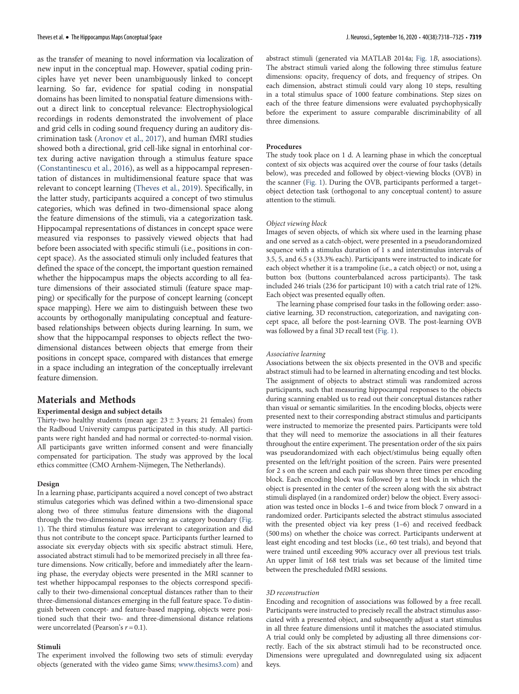as the transfer of meaning to novel information via localization of new input in the conceptual map. However, spatial coding principles have yet never been unambiguously linked to concept learning. So far, evidence for spatial coding in nonspatial domains has been limited to nonspatial feature dimensions without a direct link to conceptual relevance: Electrophysiological recordings in rodents demonstrated the involvement of place and grid cells in coding sound frequency during an auditory discrimination task ([Aronov et al., 2017\)](#page-7-27), and human fMRI studies showed both a directional, grid cell-like signal in entorhinal cortex during active navigation through a stimulus feature space [\(Constantinescu et al., 2016](#page-7-28)), as well as a hippocampal representation of distances in multidimensional feature space that was relevant to concept learning [\(Theves et al., 2019\)](#page-7-15). Specifically, in the latter study, participants acquired a concept of two stimulus categories, which was defined in two-dimensional space along the feature dimensions of the stimuli, via a categorization task. Hippocampal representations of distances in concept space were measured via responses to passively viewed objects that had before been associated with specific stimuli (i.e., positions in concept space). As the associated stimuli only included features that defined the space of the concept, the important question remained whether the hippocampus maps the objects according to all feature dimensions of their associated stimuli (feature space mapping) or specifically for the purpose of concept learning (concept space mapping). Here we aim to distinguish between these two accounts by orthogonally manipulating conceptual and featurebased relationships between objects during learning. In sum, we show that the hippocampal responses to objects reflect the twodimensional distances between objects that emerge from their positions in concept space, compared with distances that emerge in a space including an integration of the conceptually irrelevant feature dimension.

# Materials and Methods

## Experimental design and subject details

Thirty-two healthy students (mean age:  $23 \pm 3$  years; 21 females) from the Radboud University campus participated in this study. All participants were right handed and had normal or corrected-to-normal vision. All participants gave written informed consent and were financially compensated for participation. The study was approved by the local ethics committee (CMO Arnhem-Nijmegen, The Netherlands).

#### Design

In a learning phase, participants acquired a novel concept of two abstract stimulus categories which was defined within a two-dimensional space along two of three stimulus feature dimensions with the diagonal through the two-dimensional space serving as category boundary ([Fig.](#page-2-0) [1](#page-2-0)). The third stimulus feature was irrelevant to categorization and did thus not contribute to the concept space. Participants further learned to associate six everyday objects with six specific abstract stimuli. Here, associated abstract stimuli had to be memorized precisely in all three feature dimensions. Now critically, before and immediately after the learning phase, the everyday objects were presented in the MRI scanner to test whether hippocampal responses to the objects correspond specifically to their two-dimensional conceptual distances rather than to their three-dimensional distances emerging in the full feature space. To distinguish between concept- and feature-based mapping, objects were positioned such that their two- and three-dimensional distance relations were uncorrelated (Pearson's  $r = 0.1$ ).

#### Stimuli

The experiment involved the following two sets of stimuli: everyday objects (generated with the video game Sims; [www.thesims3.com](http://www.thesims3.com)) and abstract stimuli (generated via MATLAB 2014a; [Fig. 1](#page-2-0)B, associations). The abstract stimuli varied along the following three stimulus feature dimensions: opacity, frequency of dots, and frequency of stripes. On each dimension, abstract stimuli could vary along 10 steps, resulting in a total stimulus space of 1000 feature combinations. Step sizes on each of the three feature dimensions were evaluated psychophysically before the experiment to assure comparable discriminability of all three dimensions.

# Procedures

The study took place on 1 d. A learning phase in which the conceptual context of six objects was acquired over the course of four tasks (details below), was preceded and followed by object-viewing blocks (OVB) in the scanner ([Fig. 1\)](#page-2-0). During the OVB, participants performed a target– object detection task (orthogonal to any conceptual content) to assure attention to the stimuli.

#### Object viewing block

Images of seven objects, of which six where used in the learning phase and one served as a catch-object, were presented in a pseudorandomized sequence with a stimulus duration of 1 s and interstimulus intervals of 3.5, 5, and 6.5 s (33.3% each). Participants were instructed to indicate for each object whether it is a trampoline (i.e., a catch object) or not, using a button box (buttons counterbalanced across participants). The task included 246 trials (236 for participant 10) with a catch trial rate of 12%. Each object was presented equally often.

The learning phase comprised four tasks in the following order: associative learning, 3D reconstruction, categorization, and navigating concept space, all before the post-learning OVB. The post-learning OVB was followed by a final 3D recall test ([Fig. 1](#page-2-0)).

#### Associative learning

Associations between the six objects presented in the OVB and specific abstract stimuli had to be learned in alternating encoding and test blocks. The assignment of objects to abstract stimuli was randomized across participants, such that measuring hippocampal responses to the objects during scanning enabled us to read out their conceptual distances rather than visual or semantic similarities. In the encoding blocks, objects were presented next to their corresponding abstract stimulus and participants were instructed to memorize the presented pairs. Participants were told that they will need to memorize the associations in all their features throughout the entire experiment. The presentation order of the six pairs was pseudorandomized with each object/stimulus being equally often presented on the left/right position of the screen. Pairs were presented for 2 s on the screen and each pair was shown three times per encoding block. Each encoding block was followed by a test block in which the object is presented in the center of the screen along with the six abstract stimuli displayed (in a randomized order) below the object. Every association was tested once in blocks 1–6 and twice from block 7 onward in a randomized order. Participants selected the abstract stimulus associated with the presented object via key press (1–6) and received feedback (500 ms) on whether the choice was correct. Participants underwent at least eight encoding and test blocks (i.e., 60 test trials), and beyond that were trained until exceeding 90% accuracy over all previous test trials. An upper limit of 168 test trials was set because of the limited time between the prescheduled fMRI sessions.

#### 3D reconstruction

Encoding and recognition of associations was followed by a free recall. Participants were instructed to precisely recall the abstract stimulus associated with a presented object, and subsequently adjust a start stimulus in all three feature dimensions until it matches the associated stimulus. A trial could only be completed by adjusting all three dimensions correctly. Each of the six abstract stimuli had to be reconstructed once. Dimensions were upregulated and downregulated using six adjacent keys.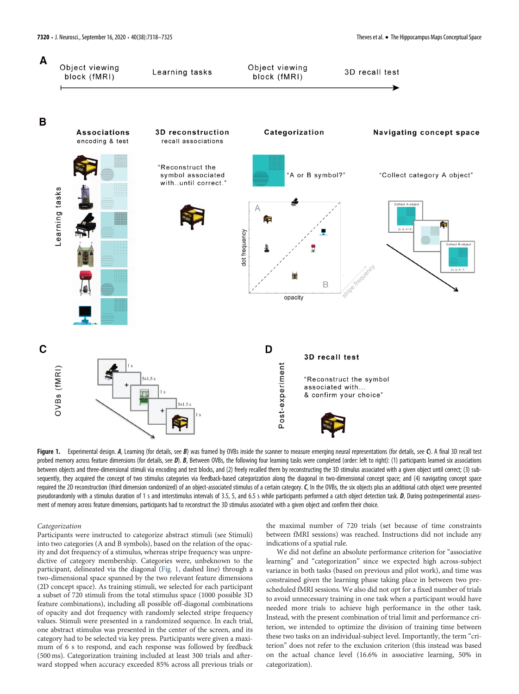

<span id="page-2-0"></span>Figure 1. Experimental design. A, Learning (for details, see B) was framed by OVBs inside the scanner to measure emerging neural representations (for details, see C). A final 3D recall test probed memory across feature dimensions (for details, see D). B, Between OVBs, the following four learning tasks were completed (order: left to right): (1) participants learned six associations between objects and three-dimensional stimuli via encoding and test blocks, and (2) freely recalled them by reconstructing the 3D stimulus associated with a given object until correct; (3) subsequently, they acquired the concept of two stimulus categories via feedback-based categorization along the diagonal in two-dimensional concept space; and (4) navigating concept space required the 2D reconstruction (third dimension randomized) of an object-associated stimulus of a certain category.  $C$ , In the OVBs, the six objects plus an additional catch object were presented pseudorandomly with a stimulus duration of 1 s and interstimulus intervals of 3.5, 5, and 6.5 s while participants performed a catch object detection task. D, During postexperimental assessment of memory across feature dimensions, participants had to reconstruct the 3D stimulus associated with a given object and confirm their choice.

## Categorization

Participants were instructed to categorize abstract stimuli (see Stimuli) into two categories (A and B symbols), based on the relation of the opacity and dot frequency of a stimulus, whereas stripe frequency was unpredictive of category membership. Categories were, unbeknown to the participant, delineated via the diagonal ([Fig. 1](#page-2-0), dashed line) through a two-dimensional space spanned by the two relevant feature dimensions (2D concept space). As training stimuli, we selected for each participant a subset of 720 stimuli from the total stimulus space (1000 possible 3D feature combinations), including all possible off-diagonal combinations of opacity and dot frequency with randomly selected stripe frequency values. Stimuli were presented in a randomized sequence. In each trial, one abstract stimulus was presented in the center of the screen, and its category had to be selected via key press. Participants were given a maximum of 6 s to respond, and each response was followed by feedback (500 ms). Categorization training included at least 300 trials and afterward stopped when accuracy exceeded 85% across all previous trials or

the maximal number of 720 trials (set because of time constraints between fMRI sessions) was reached. Instructions did not include any indications of a spatial rule.

We did not define an absolute performance criterion for "associative learning" and "categorization" since we expected high across-subject variance in both tasks (based on previous and pilot work), and time was constrained given the learning phase taking place in between two prescheduled fMRI sessions. We also did not opt for a fixed number of trials to avoid unnecessary training in one task when a participant would have needed more trials to achieve high performance in the other task. Instead, with the present combination of trial limit and performance criterion, we intended to optimize the division of training time between these two tasks on an individual-subject level. Importantly, the term "criterion" does not refer to the exclusion criterion (this instead was based on the actual chance level (16.6% in associative learning, 50% in categorization).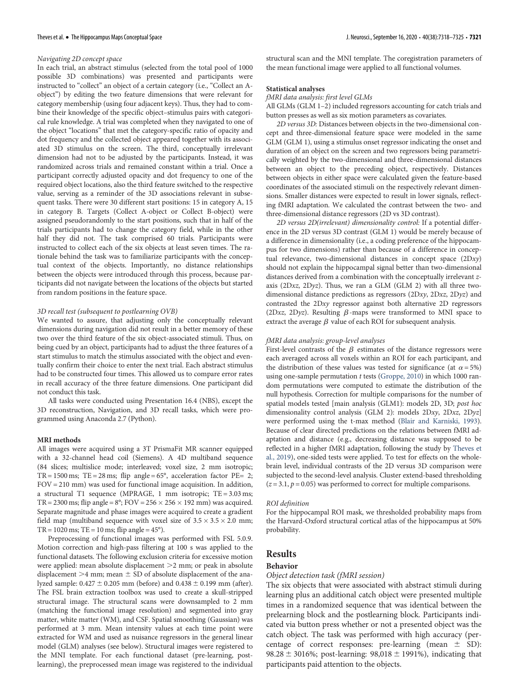# Navigating 2D concept space

In each trial, an abstract stimulus (selected from the total pool of 1000 possible 3D combinations) was presented and participants were instructed to "collect" an object of a certain category (i.e., "Collect an Aobject") by editing the two feature dimensions that were relevant for category membership (using four adjacent keys). Thus, they had to combine their knowledge of the specific object–stimulus pairs with categorical rule knowledge. A trial was completed when they navigated to one of the object "locations" that met the category-specific ratio of opacity and dot frequency and the collected object appeared together with its associated 3D stimulus on the screen. The third, conceptually irrelevant dimension had not to be adjusted by the participants. Instead, it was randomized across trials and remained constant within a trial. Once a participant correctly adjusted opacity and dot frequency to one of the required object locations, also the third feature switched to the respective value, serving as a reminder of the 3D associations relevant in subsequent tasks. There were 30 different start positions: 15 in category A, 15 in category B. Targets (Collect A-object or Collect B-object) were assigned pseudorandomly to the start positions, such that in half of the trials participants had to change the category field, while in the other half they did not. The task comprised 60 trials. Participants were instructed to collect each of the six objects at least seven times. The rationale behind the task was to familiarize participants with the conceptual context of the objects. Importantly, no distance relationships between the objects were introduced through this process, because participants did not navigate between the locations of the objects but started from random positions in the feature space.

## 3D recall test (subsequent to postlearning OVB)

We wanted to assure, that adjusting only the conceptually relevant dimensions during navigation did not result in a better memory of these two over the third feature of the six object-associated stimuli. Thus, on being cued by an object, participants had to adjust the three features of a start stimulus to match the stimulus associated with the object and eventually confirm their choice to enter the next trial. Each abstract stimulus had to be constructed four times. This allowed us to compare error rates in recall accuracy of the three feature dimensions. One participant did not conduct this task.

All tasks were conducted using Presentation 16.4 (NBS), except the 3D reconstruction, Navigation, and 3D recall tasks, which were programmed using Anaconda 2.7 (Python).

#### MRI methods

All images were acquired using a 3T PrismaFit MR scanner equipped with a 32-channel head coil (Siemens). A 4D multiband sequence (84 slices; multislice mode; interleaved; voxel size, 2 mm isotropic; TR = 1500 ms; TE = 28 ms; flip angle =  $65^{\circ}$ , acceleration factor PE= 2; FOV = 210 mm) was used for functional image acquisition. In addition, a structural T1 sequence (MPRAGE, 1 mm isotropic; TE = 3.03 ms; TR = 2300 ms; flip angle =  $8^\circ$ ; FOV = 256  $\times$  256  $\times$  192 mm) was acquired. Separate magnitude and phase images were acquired to create a gradient field map (multiband sequence with voxel size of  $3.5 \times 3.5 \times 2.0$  mm;  $TR = 1020$  ms;  $TE = 10$  ms; flip angle =  $45^{\circ}$ ).

Preprocessing of functional images was performed with FSL 5.0.9. Motion correction and high-pass filtering at 100 s was applied to the functional datasets. The following exclusion criteria for excessive motion were applied: mean absolute displacement  $>2$  mm; or peak in absolute displacement  $>4$  mm; mean  $\pm$  SD of absolute displacement of the analyzed sample:  $0.427 \pm 0.205$  mm (before) and  $0.438 \pm 0.199$  mm (after). The FSL brain extraction toolbox was used to create a skull-stripped structural image. The structural scans were downsampled to 2 mm (matching the functional image resolution) and segmented into gray matter, white matter (WM), and CSF. Spatial smoothing (Gaussian) was performed at 3 mm. Mean intensity values at each time point were extracted for WM and used as nuisance regressors in the general linear model (GLM) analyses (see below). Structural images were registered to the MNI template. For each functional dataset (pre-learning, postlearning), the preprocessed mean image was registered to the individual structural scan and the MNI template. The coregistration parameters of the mean functional image were applied to all functional volumes.

#### Statistical analyses

# fMRI data analysis: first level GLMs

All GLMs (GLM 1–2) included regressors accounting for catch trials and button presses as well as six motion parameters as covariates.

2D versus 3D: Distances between objects in the two-dimensional concept and three-dimensional feature space were modeled in the same GLM (GLM 1), using a stimulus onset regressor indicating the onset and duration of an object on the screen and two regressors being parametrically weighted by the two-dimensional and three-dimensional distances between an object to the preceding object, respectively. Distances between objects in either space were calculated given the feature-based coordinates of the associated stimuli on the respectively relevant dimensions. Smaller distances were expected to result in lower signals, reflecting fMRI adaptation. We calculated the contrast between the two- and three-dimensional distance regressors (2D vs 3D contrast).

2D versus 2D(irrelevant) dimensionality control: If a potential difference in the 2D versus 3D contrast (GLM 1) would be merely because of a difference in dimensionality (i.e., a coding preference of the hippocampus for two dimensions) rather than because of a difference in conceptual relevance, two-dimensional distances in concept space  $(2Dxy)$ should not explain the hippocampal signal better than two-dimensional distances derived from a combination with the conceptually irrelevant zaxis ( $2Dxz$ ,  $2Dyz$ ). Thus, we ran a GLM (GLM 2) with all three twodimensional distance predictions as regressors (2Dxy, 2Dxz, 2Dyz) and contrasted the 2Dxy regressor against both alternative 2D regressors (2Dxz, 2Dyz). Resulting  $\beta$ -maps were transformed to MNI space to extract the average  $\beta$  value of each ROI for subsequent analysis.

## fMRI data analysis: group-level analyses

First-level contrasts of the  $\beta$  estimates of the distance regressors were each averaged across all voxels within an ROI for each participant, and the distribution of these values was tested for significance (at  $\alpha = 5\%$ ) using one-sample permutation t tests [\(Groppe, 2010\)](#page-7-29) in which 1000 random permutations were computed to estimate the distribution of the null hypothesis. Correction for multiple comparisons for the number of spatial models tested [main analysis (GLM1): models 2D, 3D; post hoc dimensionality control analysis (GLM 2): models 2Dxy, 2Dxz, 2Dyz] were performed using the t-max method ([Blair and Karniski, 1993](#page-7-30)). Because of clear directed predictions on the relations between fMRI adaptation and distance (e.g., decreasing distance was supposed to be reflected in a higher fMRI adaptation, following the study by [Theves et](#page-7-15) [al., 2019\)](#page-7-15), one-sided tests were applied. To test for effects on the wholebrain level, individual contrasts of the 2D versus 3D comparison were subjected to the second-level analysis. Cluster extend-based thresholding  $(z = 3.1, p = 0.05)$  was performed to correct for multiple comparisons.

#### ROI definition

For the hippocampal ROI mask, we thresholded probability maps from the Harvard-Oxford structural cortical atlas of the hippocampus at 50% probability.

# **Results**

## Behavior

#### Object detection task (fMRI session)

The six objects that were associated with abstract stimuli during learning plus an additional catch object were presented multiple times in a randomized sequence that was identical between the prelearning block and the postlearning block. Participants indicated via button press whether or not a presented object was the catch object. The task was performed with high accuracy (percentage of correct responses: pre-learning (mean  $\pm$  SD): 98.28  $\pm$  3016%; post-learning: 98,018  $\pm$  1991%), indicating that participants paid attention to the objects.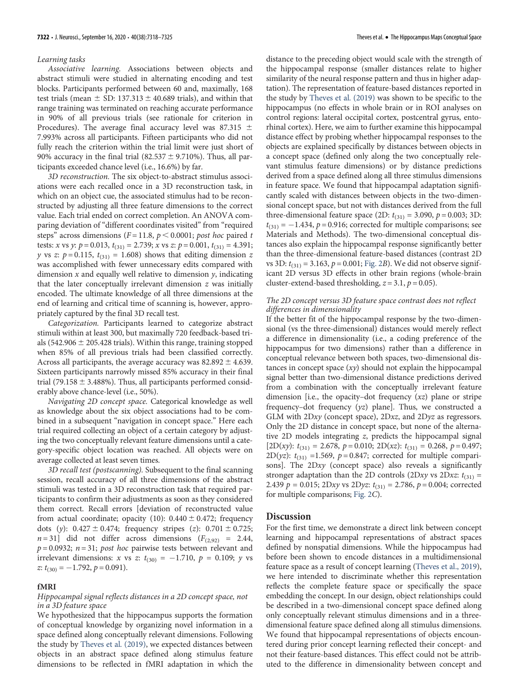## Learning tasks

Associative learning. Associations between objects and abstract stimuli were studied in alternating encoding and test blocks. Participants performed between 60 and, maximally, 168 test trials (mean  $\pm$  SD: 137.313  $\pm$  40.689 trials), and within that range training was terminated on reaching accurate performance in 90% of all previous trials (see rationale for criterion in Procedures). The average final accuracy level was 87.315  $\pm$ 7.993% across all participants. Fifteen participants who did not fully reach the criterion within the trial limit were just short of 90% accuracy in the final trial (82.537  $\pm$  9.710%). Thus, all participants exceeded chance level (i.e., 16.6%) by far.

3D reconstruction. The six object-to-abstract stimulus associations were each recalled once in a 3D reconstruction task, in which on an object cue, the associated stimulus had to be reconstructed by adjusting all three feature dimensions to the correct value. Each trial ended on correct completion. An ANOVA comparing deviation of "different coordinates visited" from "required steps" across dimensions ( $F = 11.8$ ,  $p < 0.0001$ ; post hoc paired t tests: x vs y:  $p = 0.013$ ,  $t_{(31)} = 2.739$ ; x vs z:  $p = 0.001$ ,  $t_{(31)} = 4.391$ ; y vs z:  $p = 0.115$ ,  $t_{(31)} = 1.608$ ) shows that editing dimension z was accomplished with fewer unnecessary edits compared with dimension  $x$  and equally well relative to dimension  $y$ , indicating that the later conceptually irrelevant dimension  $z$  was initially encoded. The ultimate knowledge of all three dimensions at the end of learning and critical time of scanning is, however, appropriately captured by the final 3D recall test.

Categorization. Participants learned to categorize abstract stimuli within at least 300, but maximally 720 feedback-based trials (542.906  $\pm$  205.428 trials). Within this range, training stopped when 85% of all previous trials had been classified correctly. Across all participants, the average accuracy was  $82.892 \pm 4.639$ . Sixteen participants narrowly missed 85% accuracy in their final trial (79.158  $\pm$  3.488%). Thus, all participants performed considerably above chance-level (i.e., 50%).

Navigating 2D concept space. Categorical knowledge as well as knowledge about the six object associations had to be combined in a subsequent "navigation in concept space." Here each trial required collecting an object of a certain category by adjusting the two conceptually relevant feature dimensions until a category-specific object location was reached. All objects were on average collected at least seven times.

3D recall test (postscanning). Subsequent to the final scanning session, recall accuracy of all three dimensions of the abstract stimuli was tested in a 3D reconstruction task that required participants to confirm their adjustments as soon as they considered them correct. Recall errors [deviation of reconstructed value from actual coordinate; opacity (10):  $0.440 \pm 0.472$ ; frequency dots (y):  $0.427 \pm 0.474$ ; frequency stripes (z):  $0.701 \pm 0.725$ ;  $n = 31$ ] did not differ across dimensions  $(F_{(2,92)} = 2.44,$  $p = 0.0932$ ;  $n = 31$ ; post hoc pairwise tests between relevant and irrelevant dimensions: x vs z:  $t_{(30)} = -1.710$ ,  $p = 0.109$ ; y vs z:  $t_{(30)} = -1.792$ ,  $p = 0.091$ ).

## fMRI

# Hippocampal signal reflects distances in a 2D concept space, not in a 3D feature space

We hypothesized that the hippocampus supports the formation of conceptual knowledge by organizing novel information in a space defined along conceptually relevant dimensions. Following the study by [Theves et al. \(2019\)](#page-7-15), we expected distances between objects in an abstract space defined along stimulus feature dimensions to be reflected in fMRI adaptation in which the

distance to the preceding object would scale with the strength of the hippocampal response (smaller distances relate to higher similarity of the neural response pattern and thus in higher adaptation). The representation of feature-based distances reported in the study by [Theves et al. \(2019\)](#page-7-15) was shown to be specific to the hippocampus (no effects in whole brain or in ROI analyses on control regions: lateral occipital cortex, postcentral gyrus, entorhinal cortex). Here, we aim to further examine this hippocampal distance effect by probing whether hippocampal responses to the objects are explained specifically by distances between objects in a concept space (defined only along the two conceptually relevant stimulus feature dimensions) or by distance predictions derived from a space defined along all three stimulus dimensions in feature space. We found that hippocampal adaptation significantly scaled with distances between objects in the two-dimensional concept space, but not with distances derived from the full three-dimensional feature space (2D:  $t_{(31)} = 3.090$ ,  $p = 0.003$ ; 3D:  $t_{(31)} = -1.434$ ,  $p = 0.916$ ; corrected for multiple comparisons; see Materials and Methods). The two-dimensional conceptual distances also explain the hippocampal response significantly better than the three-dimensional feature-based distances (contrast 2D vs 3D:  $t_{(31)} = 3.163$ ,  $p = 0.001$ ; [Fig. 2](#page-5-0)B). We did not observe significant 2D versus 3D effects in other brain regions (whole-brain cluster-extend-based thresholding,  $z = 3.1$ ,  $p = 0.05$ ).

## The 2D concept versus 3D feature space contrast does not reflect differences in dimensionality

If the better fit of the hippocampal response by the two-dimensional (vs the three-dimensional) distances would merely reflect a difference in dimensionality (i.e., a coding preference of the hippocampus for two dimensions) rather than a difference in conceptual relevance between both spaces, two-dimensional distances in concept space  $(xy)$  should not explain the hippocampal signal better than two-dimensional distance predictions derived from a combination with the conceptually irrelevant feature dimension [i.e., the opacity-dot frequency  $(xz)$  plane or stripe frequency–dot frequency (yz) plane]. Thus, we constructed a GLM with 2Dxy (concept space), 2Dxz, and 2Dyz as regressors. Only the 2D distance in concept space, but none of the alternative 2D models integrating z, predicts the hippocampal signal [2D(xy):  $t_{(31)} = 2.678$ ,  $p = 0.010$ ; 2D(xz):  $t_{(31)} = 0.268$ ,  $p = 0.497$ ; 2D(yz):  $t_{(31)}$  =1.569, p = 0.847; corrected for multiple comparisons]. The 2Dxy (concept space) also reveals a significantly stronger adaptation than the 2D controls (2Dxy vs 2Dxz:  $t_{(31)}$  = 2.439  $p = 0.015$ ; 2Dxy vs 2Dyz:  $t_{(31)} = 2.786$ ,  $p = 0.004$ ; corrected for multiple comparisons; [Fig. 2](#page-5-0)C).

# **Discussion**

For the first time, we demonstrate a direct link between concept learning and hippocampal representations of abstract spaces defined by nonspatial dimensions. While the hippocampus had before been shown to encode distances in a multidimensional feature space as a result of concept learning ([Theves et al., 2019\)](#page-7-15), we here intended to discriminate whether this representation reflects the complete feature space or specifically the space embedding the concept. In our design, object relationships could be described in a two-dimensional concept space defined along only conceptually relevant stimulus dimensions and in a threedimensional feature space defined along all stimulus dimensions. We found that hippocampal representations of objects encountered during prior concept learning reflected their concept- and not their feature-based distances. This effect could not be attributed to the difference in dimensionality between concept and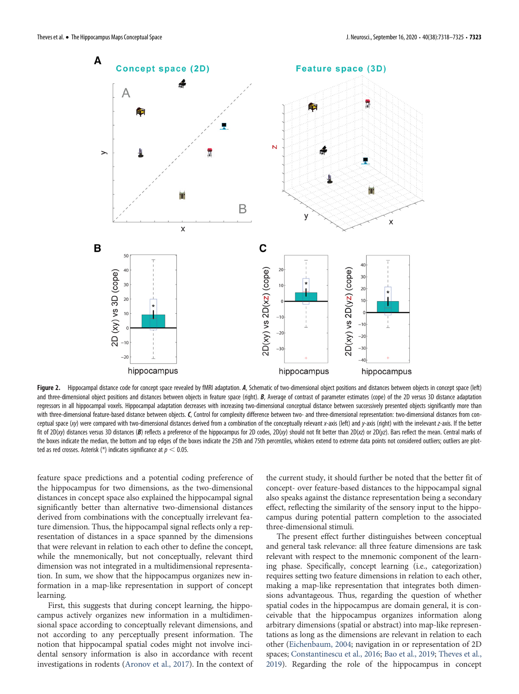

<span id="page-5-0"></span>Figure 2. Hippocampal distance code for concept space revealed by fMRI adaptation. A, Schematic of two-dimensional object positions and distances between objects in concept space (left) and three-dimensional object positions and distances between objects in feature space (right). B, Average of contrast of parameter estimates (cope) of the 2D versus 3D distance adaptation regressors in all hippocampal voxels. Hippocampal adaptation decreases with increasing two-dimensional conceptual distance between successively presented objects significantly more than with three-dimensional feature-based distance between objects. C, Control for complexity difference between two- and three-dimensional representation: two-dimensional distances from conceptual space (xy) were compared with two-dimensional distances derived from a combination of the conceptually relevant x-axis (left) and y-axis (right) with the irrelevant z-axis. If the better fit of 2D(xy) distances versus 3D distances (B) reflects a preference of the hippocampus for 2D codes, 2D(xy) should not fit better than 2D(xz) or 2D(yz). Bars reflect the mean. Central marks of the boxes indicate the median, the bottom and top edges of the boxes indicate the 25th and 75th percentiles, whiskers extend to extreme data points not considered outliers; outliers are plotted as red crosses. Asterisk (\*) indicates significance at  $p < 0.05$ .

feature space predictions and a potential coding preference of the hippocampus for two dimensions, as the two-dimensional distances in concept space also explained the hippocampal signal significantly better than alternative two-dimensional distances derived from combinations with the conceptually irrelevant feature dimension. Thus, the hippocampal signal reflects only a representation of distances in a space spanned by the dimensions that were relevant in relation to each other to define the concept, while the mnemonically, but not conceptually, relevant third dimension was not integrated in a multidimensional representation. In sum, we show that the hippocampus organizes new information in a map-like representation in support of concept learning.

First, this suggests that during concept learning, the hippocampus actively organizes new information in a multidimensional space according to conceptually relevant dimensions, and not according to any perceptually present information. The notion that hippocampal spatial codes might not involve incidental sensory information is also in accordance with recent investigations in rodents ([Aronov et al., 2017](#page-7-27)). In the context of the current study, it should further be noted that the better fit of concept- over feature-based distances to the hippocampal signal also speaks against the distance representation being a secondary effect, reflecting the similarity of the sensory input to the hippocampus during potential pattern completion to the associated three-dimensional stimuli.

The present effect further distinguishes between conceptual and general task relevance: all three feature dimensions are task relevant with respect to the mnemonic component of the learning phase. Specifically, concept learning (i.e., categorization) requires setting two feature dimensions in relation to each other, making a map-like representation that integrates both dimensions advantageous. Thus, regarding the question of whether spatial codes in the hippocampus are domain general, it is conceivable that the hippocampus organizes information along arbitrary dimensions (spatial or abstract) into map-like representations as long as the dimensions are relevant in relation to each other ([Eichenbaum, 2004;](#page-7-31) navigation in or representation of 2D spaces; [Constantinescu et al., 2016;](#page-7-28) [Bao et al., 2019;](#page-7-32) [Theves et al.,](#page-7-15) [2019\)](#page-7-15). Regarding the role of the hippocampus in concept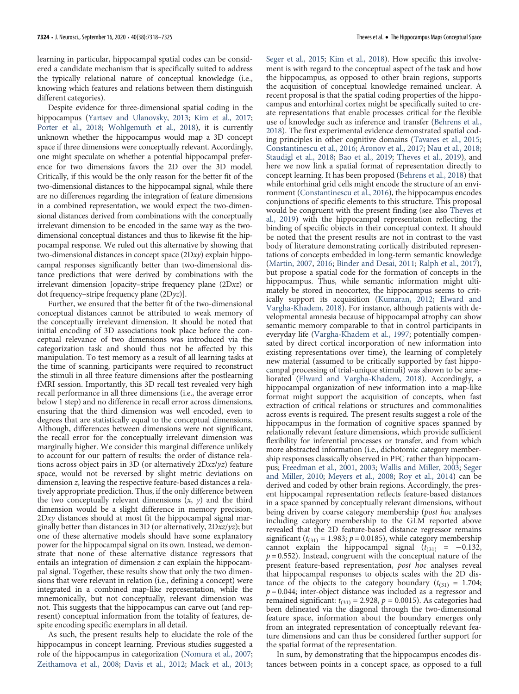learning in particular, hippocampal spatial codes can be considered a candidate mechanism that is specifically suited to address the typically relational nature of conceptual knowledge (i.e., knowing which features and relations between them distinguish different categories).

Despite evidence for three-dimensional spatial coding in the hippocampus [\(Yartsev and Ulanovsky, 2013](#page-7-33); [Kim et al., 2017;](#page-7-34) [Porter et al., 2018;](#page-7-35) [Wohlgemuth et al., 2018](#page-7-36)), it is currently unknown whether the hippocampus would map a 3D concept space if three dimensions were conceptually relevant. Accordingly, one might speculate on whether a potential hippocampal preference for two dimensions favors the 2D over the 3D model. Critically, if this would be the only reason for the better fit of the two-dimensional distances to the hippocampal signal, while there are no differences regarding the integration of feature dimensions in a combined representation, we would expect the two-dimensional distances derived from combinations with the conceptually irrelevant dimension to be encoded in the same way as the twodimensional conceptual distances and thus to likewise fit the hippocampal response. We ruled out this alternative by showing that two-dimensional distances in concept space (2Dxy) explain hippocampal responses significantly better than two-dimensional distance predictions that were derived by combinations with the irrelevant dimension [opacity–stripe frequency plane (2Dxz) or dot frequency–stripe frequency plane (2Dyz)].

Further, we ensured that the better fit of the two-dimensional conceptual distances cannot be attributed to weak memory of the conceptually irrelevant dimension. It should be noted that initial encoding of 3D associations took place before the conceptual relevance of two dimensions was introduced via the categorization task and should thus not be affected by this manipulation. To test memory as a result of all learning tasks at the time of scanning, participants were required to reconstruct the stimuli in all three feature dimensions after the postlearning fMRI session. Importantly, this 3D recall test revealed very high recall performance in all three dimensions (i.e., the average error below 1 step) and no difference in recall error across dimensions, ensuring that the third dimension was well encoded, even to degrees that are statistically equal to the conceptual dimensions. Although, differences between dimensions were not significant, the recall error for the conceptually irrelevant dimension was marginally higher. We consider this marginal difference unlikely to account for our pattern of results: the order of distance relations across object pairs in 3D (or alternatively 2Dxz/yz) feature space, would not be reversed by slight metric deviations on dimension z, leaving the respective feature-based distances a relatively appropriate prediction. Thus, if the only difference between the two conceptually relevant dimensions  $(x, y)$  and the third dimension would be a slight difference in memory precision, 2Dxy distances should at most fit the hippocampal signal marginally better than distances in 3D (or alternatively,  $2Dxz/yz$ ); but one of these alternative models should have some explanatory power for the hippocampal signal on its own. Instead, we demonstrate that none of these alternative distance regressors that entails an integration of dimension z can explain the hippocampal signal. Together, these results show that only the two dimensions that were relevant in relation (i.e., defining a concept) were integrated in a combined map-like representation, while the mnemonically, but not conceptually, relevant dimension was not. This suggests that the hippocampus can carve out (and represent) conceptual information from the totality of features, despite encoding specific exemplars in all detail.

As such, the present results help to elucidate the role of the hippocampus in concept learning. Previous studies suggested a role of the hippocampus in categorization [\(Nomura et al., 2007;](#page-7-16) [Zeithamova et al., 2008;](#page-7-17) [Davis et al., 2012](#page-7-9); [Mack et al., 2013;](#page-7-18) [Seger et al., 2015;](#page-7-19) [Kim et al., 2018\)](#page-7-20). How specific this involvement is with regard to the conceptual aspect of the task and how the hippocampus, as opposed to other brain regions, supports the acquisition of conceptual knowledge remained unclear. A recent proposal is that the spatial coding properties of the hippocampus and entorhinal cortex might be specifically suited to create representations that enable processes critical for the flexible use of knowledge such as inference and transfer [\(Behrens et al.,](#page-7-26) [2018\)](#page-7-26). The first experimental evidence demonstrated spatial coding principles in other cognitive domains [\(Tavares et al., 2015;](#page-7-37) [Constantinescu et al., 2016;](#page-7-28) [Aronov et al., 2017](#page-7-27); [Nau et al., 2018;](#page-7-38) [Staudigl et al., 2018](#page-7-39); [Bao et al., 2019](#page-7-32); [Theves et al., 2019\)](#page-7-15), and here we now link a spatial format of representation directly to concept learning. It has been proposed [\(Behrens et al., 2018\)](#page-7-26) that while entorhinal grid cells might encode the structure of an environment [\(Constantinescu et al., 2016](#page-7-28)), the hippocampus encodes conjunctions of specific elements to this structure. This proposal would be congruent with the present finding (see also [Theves et](#page-7-15) [al., 2019](#page-7-15)) with the hippocampal representation reflecting the binding of specific objects in their conceptual context. It should be noted that the present results are not in contrast to the vast body of literature demonstrating cortically distributed representations of concepts embedded in long-term semantic knowledge [\(Martin, 2007](#page-7-40), [2016;](#page-7-41) [Binder and Desai, 2011;](#page-7-42) [Ralph et al., 2017\)](#page-7-43), but propose a spatial code for the formation of concepts in the hippocampus. Thus, while semantic information might ultimately be stored in neocortex, the hippocampus seems to critically support its acquisition [\(Kumaran, 2012;](#page-7-2) [Elward and](#page-7-44) [Vargha-Khadem, 2018](#page-7-44)). For instance, although patients with developmental amnesia because of hippocampal atrophy can show semantic memory comparable to that in control participants in everyday life [\(Vargha-Khadem et al., 1997](#page-7-45); potentially compensated by direct cortical incorporation of new information into existing representations over time), the learning of completely new material (assumed to be critically supported by fast hippocampal processing of trial-unique stimuli) was shown to be ameliorated [\(Elward and Vargha-Khadem, 2018](#page-7-44)). Accordingly, a hippocampal organization of new information into a map-like format might support the acquisition of concepts, when fast extraction of critical relations or structures and commonalities across events is required. The present results suggest a role of the hippocampus in the formation of cognitive spaces spanned by relationally relevant feature dimensions, which provide sufficient flexibility for inferential processes or transfer, and from which more abstracted information (i.e., dichotomic category membership responses classically observed in PFC rather than hippocampus; [Freedman et al., 2001](#page-7-46), [2003](#page-7-47); [Wallis and Miller, 2003;](#page-7-48) [Seger](#page-7-49) [and Miller, 2010](#page-7-49); [Meyers et al., 2008;](#page-7-50) [Roy et al., 2014\)](#page-7-51) can be derived and coded by other brain regions. Accordingly, the present hippocampal representation reflects feature-based distances in a space spanned by conceptually relevant dimensions, without being driven by coarse category membership (post hoc analyses including category membership to the GLM reported above revealed that the 2D feature-based distance regressor remains significant ( $t_{(31)} = 1.983$ ;  $p = 0.0185$ ), while category membership cannot explain the hippocampal signal  $(t_{(31)} = -0.132,$  $p = 0.552$ ). Instead, congruent with the conceptual nature of the present feature-based representation, post hoc analyses reveal that hippocampal responses to objects scales with the 2D distance of the objects to the category boundary ( $t_{(31)} = 1.704$ ;  $p = 0.044$ ; inter-object distance was included as a regressor and remained significant:  $t_{(31)} = 2.928$ ,  $p = 0.0015$ ). As categories had been delineated via the diagonal through the two-dimensional feature space, information about the boundary emerges only from an integrated representation of conceptually relevant feature dimensions and can thus be considered further support for the spatial format of the representation.

In sum, by demonstrating that the hippocampus encodes distances between points in a concept space, as opposed to a full